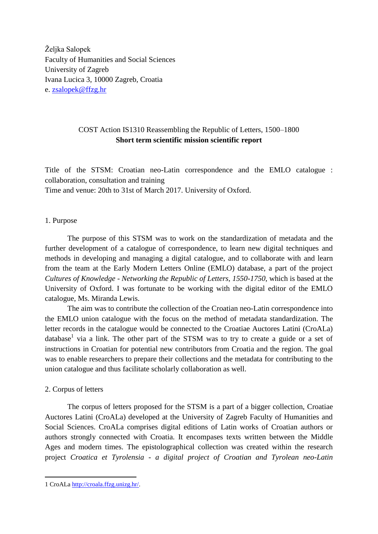Željka Salopek Faculty of Humanities and Social Sciences University of Zagreb Ivana Lucica 3, 10000 Zagreb, Croatia e. [zsalopek@ffzg.hr](mailto:zsalopek@ffzg.hr)

# COST Action IS1310 Reassembling the Republic of Letters, 1500–1800 **Short term scientific mission scientific report**

Title of the STSM: Croatian neo-Latin correspondence and the EMLO catalogue : collaboration, consultation and training Time and venue: 20th to 31st of March 2017. University of Oxford.

## 1. Purpose

The purpose of this STSM was to work on the standardization of metadata and the further development of a catalogue of correspondence, to learn new digital techniques and methods in developing and managing a digital catalogue, and to collaborate with and learn from the team at the Early Modern Letters Online (EMLO) database, a part of the project *Cultures of Knowledge - Networking the Republic of Letters, 1550-1750*, which is based at the University of Oxford. I was fortunate to be working with the digital editor of the EMLO catalogue, Ms. Miranda Lewis.

The aim was to contribute the collection of the Croatian neo-Latin correspondence into the EMLO union catalogue with the focus on the method of metadata standardization. The letter records in the catalogue would be connected to the Croatiae Auctores Latini (CroALa) database<sup>1</sup> via a link. The other part of the STSM was to try to create a guide or a set of instructions in Croatian for potential new contributors from Croatia and the region. The goal was to enable researchers to prepare their collections and the metadata for contributing to the union catalogue and thus facilitate scholarly collaboration as well.

# 2. Corpus of letters

<u>.</u>

The corpus of letters proposed for the STSM is a part of a bigger collection, Croatiae Auctores Latini (CroALa) developed at the University of Zagreb Faculty of Humanities and Social Sciences. CroALa comprises digital editions of Latin works of Croatian authors or authors strongly connected with Croatia. It encompases texts written between the Middle Ages and modern times. The epistolographical collection was created within the research project *Croatica et Tyrolensia - a digital project of Croatian and Tyrolean neo-Latin* 

<sup>1</sup> CroALa [http://croala.ffzg.unizg.hr/.](http://croala.ffzg.unizg.hr/)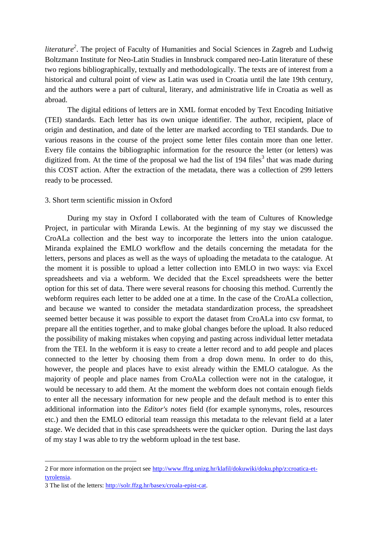*literature<sup>2</sup>* . The project of Faculty of Humanities and Social Sciences in Zagreb and Ludwig Boltzmann Institute for Neo-Latin Studies in Innsbruck compared neo-Latin literature of these two regions bibliographically, textually and methodologically. The texts are of interest from a historical and cultural point of view as Latin was used in Croatia until the late 19th century, and the authors were a part of cultural, literary, and administrative life in Croatia as well as abroad.

The digital editions of letters are in XML format encoded by Text Encoding Initiative (TEI) standards. Each letter has its own unique identifier. The author, recipient, place of origin and destination, and date of the letter are marked according to TEI standards. Due to various reasons in the course of the project some letter files contain more than one letter. Every file contains the bibliographic information for the resource the letter (or letters) was digitized from. At the time of the proposal we had the list of 194 files<sup>3</sup> that was made during this COST action. After the extraction of the metadata, there was a collection of 299 letters ready to be processed.

#### 3. Short term scientific mission in Oxford

During my stay in Oxford I collaborated with the team of Cultures of Knowledge Project, in particular with Miranda Lewis. At the beginning of my stay we discussed the CroALa collection and the best way to incorporate the letters into the union catalogue. Miranda explained the EMLO workflow and the details concerning the metadata for the letters, persons and places as well as the ways of uploading the metadata to the catalogue. At the moment it is possible to upload a letter collection into EMLO in two ways: via Excel spreadsheets and via a webform. We decided that the Excel spreadsheets were the better option for this set of data. There were several reasons for choosing this method. Currently the webform requires each letter to be added one at a time. In the case of the CroALa collection, and because we wanted to consider the metadata standardization process, the spreadsheet seemed better because it was possible to export the dataset from CroALa into csv format, to prepare all the entities together, and to make global changes before the upload. It also reduced the possibility of making mistakes when copying and pasting across individual letter metadata from the TEI. In the webform it is easy to create a letter record and to add people and places connected to the letter by choosing them from a drop down menu. In order to do this, however, the people and places have to exist already within the EMLO catalogue. As the majority of people and place names from CroALa collection were not in the catalogue, it would be necessary to add them. At the moment the webform does not contain enough fields to enter all the necessary information for new people and the default method is to enter this additional information into the *Editor's notes* field (for example synonyms, roles, resources etc.) and then the EMLO editorial team reassign this metadata to the relevant field at a later stage. We decided that in this case spreadsheets were the quicker option. During the last days of my stay I was able to try the webform upload in the test base.

<u>.</u>

<sup>2</sup> For more information on the project see [http://www.ffzg.unizg.hr/klafil/dokuwiki/doku.php/z:croatica-et](http://www.ffzg.unizg.hr/klafil/dokuwiki/doku.php/z:croatica-et-tyrolensia)[tyrolensia.](http://www.ffzg.unizg.hr/klafil/dokuwiki/doku.php/z:croatica-et-tyrolensia)

<sup>3</sup> The list of the letters: [http://solr.ffzg.hr/basex/croala-epist-cat.](http://solr.ffzg.hr/basex/croala-epist-cat)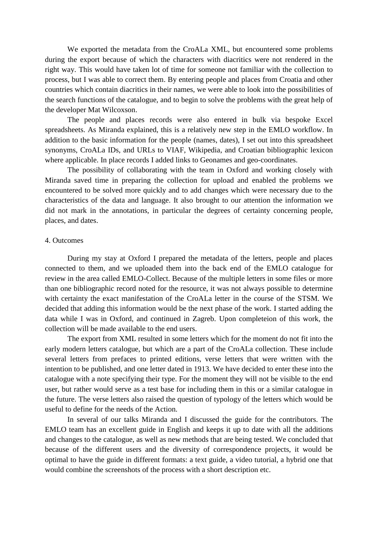We exported the metadata from the CroALa XML, but encountered some problems during the export because of which the characters with diacritics were not rendered in the right way. This would have taken lot of time for someone not familiar with the collection to process, but I was able to correct them. By entering people and places from Croatia and other countries which contain diacritics in their names, we were able to look into the possibilities of the search functions of the catalogue, and to begin to solve the problems with the great help of the developer Mat Wilcoxson.

The people and places records were also entered in bulk via bespoke Excel spreadsheets. As Miranda explained, this is a relatively new step in the EMLO workflow. In addition to the basic information for the people (names, dates), I set out into this spreadsheet synonyms, CroALa IDs, and URLs to VIAF, Wikipedia, and Croatian bibliographic lexicon where applicable. In place records I added links to Geonames and geo-coordinates.

The possibility of collaborating with the team in Oxford and working closely with Miranda saved time in preparing the collection for upload and enabled the problems we encountered to be solved more quickly and to add changes which were necessary due to the characteristics of the data and language. It also brought to our attention the information we did not mark in the annotations, in particular the degrees of certainty concerning people, places, and dates.

## 4. Outcomes

During my stay at Oxford I prepared the metadata of the letters, people and places connected to them, and we uploaded them into the back end of the EMLO catalogue for review in the area called EMLO-Collect. Because of the multiple letters in some files or more than one bibliographic record noted for the resource, it was not always possible to determine with certainty the exact manifestation of the CroALa letter in the course of the STSM. We decided that adding this information would be the next phase of the work. I started adding the data while I was in Oxford, and continued in Zagreb. Upon completeion of this work, the collection will be made available to the end users.

The export from XML resulted in some letters which for the moment do not fit into the early modern letters catalogue, but which are a part of the CroALa collection. These include several letters from prefaces to printed editions, verse letters that were written with the intention to be published, and one letter dated in 1913. We have decided to enter these into the catalogue with a note specifying their type. For the moment they will not be visible to the end user, but rather would serve as a test base for including them in this or a similar catalogue in the future. The verse letters also raised the question of typology of the letters which would be useful to define for the needs of the Action.

In several of our talks Miranda and I discussed the guide for the contributors. The EMLO team has an excellent guide in English and keeps it up to date with all the additions and changes to the catalogue, as well as new methods that are being tested. We concluded that because of the different users and the diversity of correspondence projects, it would be optimal to have the guide in different formats: a text guide, a video tutorial, a hybrid one that would combine the screenshots of the process with a short description etc.